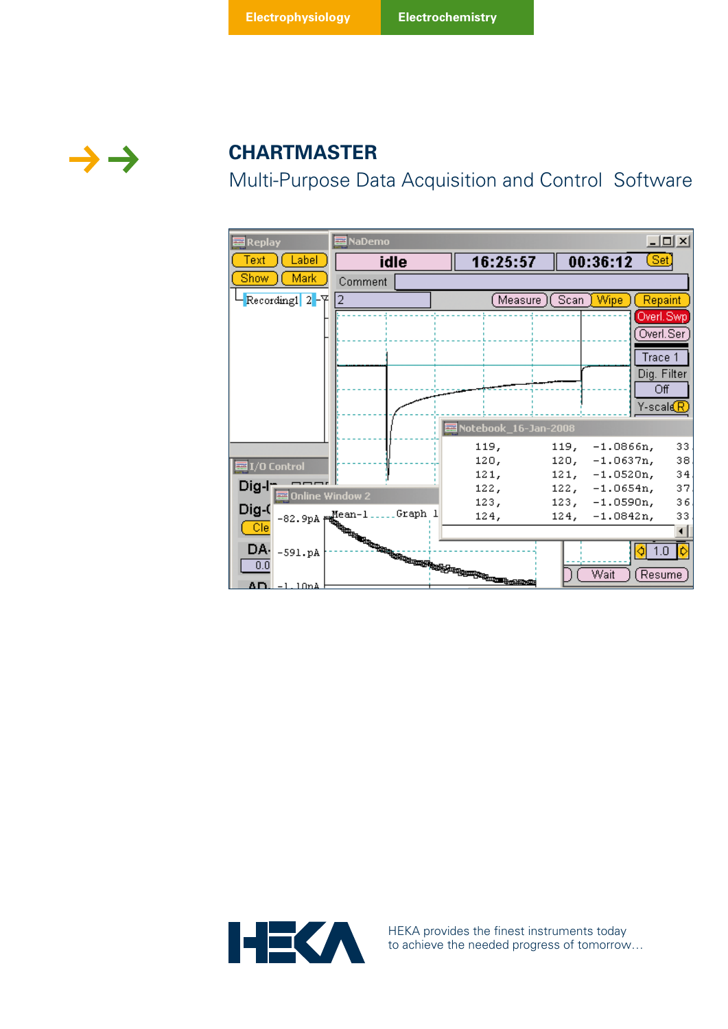

# **CHARTMASTER**

Multi-Purpose Data Acquisition and Control Software

| <b>Replay</b>  | <b>les</b> NaDemo |                                                                                                                                                                                                                                        |                                      | $ \Box$ $\times$                 |
|----------------|-------------------|----------------------------------------------------------------------------------------------------------------------------------------------------------------------------------------------------------------------------------------|--------------------------------------|----------------------------------|
| Label<br>ext.  | idle              | 16:25:57                                                                                                                                                                                                                               | 00:36:12                             | $(\underline{\mathsf{Set}})$     |
| Mark<br>Show   | Comment           |                                                                                                                                                                                                                                        |                                      |                                  |
| Recording1 2-A | 2                 | Measure )(Scan<br>Wipe<br>Repaint                                                                                                                                                                                                      |                                      |                                  |
|                |                   |                                                                                                                                                                                                                                        |                                      | Overl, Swp                       |
|                |                   |                                                                                                                                                                                                                                        |                                      | Overl.Ser                        |
|                |                   |                                                                                                                                                                                                                                        |                                      | Trace 1                          |
|                |                   |                                                                                                                                                                                                                                        |                                      | Dig. Filter                      |
|                |                   |                                                                                                                                                                                                                                        |                                      | Οff                              |
|                |                   |                                                                                                                                                                                                                                        |                                      | Y-scals $\overline{\mathcal{R}}$ |
|                |                   | 国 Notebook_16-Jan-2008                                                                                                                                                                                                                 |                                      |                                  |
|                |                   | 119,                                                                                                                                                                                                                                   | 119,<br>$-1.0866n,$                  | 33                               |
| ₫ I/O Control  |                   | 120,                                                                                                                                                                                                                                   | $120, -1.0637n,$                     | 38                               |
| Dig-l†         |                   | 121,                                                                                                                                                                                                                                   | $121, -1.0520n,$                     | 34                               |
|                |                   |                                                                                                                                                                                                                                        | $122, -1.0654n,$<br>$123, -1.0590n,$ | 37<br>36                         |
| Dig-(          |                   |                                                                                                                                                                                                                                        | $-1.0842n,$<br>124,                  | 33                               |
| $\Box$ Cle     |                   |                                                                                                                                                                                                                                        |                                      |                                  |
| DA.            |                   |                                                                                                                                                                                                                                        |                                      | 1 0                              |
| 0.0            |                   |                                                                                                                                                                                                                                        |                                      |                                  |
| Δn.            |                   | <b>ADonine Williams</b><br>-82.9pA   Home   Manual   Manual   Manual   Manual   Manual   Manual   Manual   Manual   Manual   Manual   Manual   Manual   Manual   Manual   Manual   Manual   Manual   Manual   Manual   Manual   Manual | Wait                                 | Resume                           |



HEKA provides the finest instruments today to achieve the needed progress of tomorrow…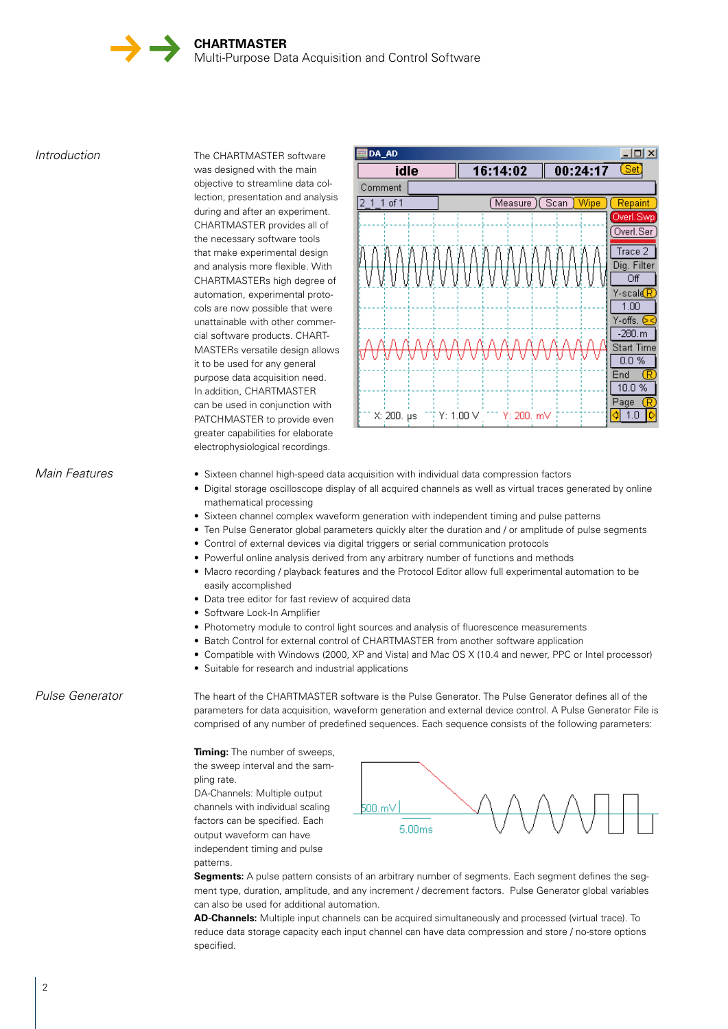*Introduction* The CHARTMASTER software was designed with the main objective to streamline data collection, presentation and analysis during and after an experiment. CHARTMASTER provides all of the necessary software tools that make experimental design and analysis more flexible. With CHARTMASTERs high degree of automation, experimental protocols are now possible that were unattainable with other commercial software products. CHART-MASTERs versatile design allows it to be used for any general purpose data acquisition need. In addition, CHARTMASTER can be used in conjunction with PATCHMASTER to provide even greater capabilities for elaborate electrophysiological recordings.



- *Main Features* Sixteen channel high-speed data acquisition with individual data compression factors
	- • Digital storage oscilloscope display of all acquired channels as well as virtual traces generated by online mathematical processing
	- • Sixteen channel complex waveform generation with independent timing and pulse patterns
	- Ten Pulse Generator global parameters quickly alter the duration and / or amplitude of pulse segments
	- Control of external devices via digital triggers or serial communication protocols
	- Powerful online analysis derived from any arbitrary number of functions and methods
	- Macro recording / playback features and the Protocol Editor allow full experimental automation to be easily accomplished
	- Data tree editor for fast review of acquired data
	- Software Lock-In Amplifier
	- Photometry module to control light sources and analysis of fluorescence measurements
	- Batch Control for external control of CHARTMASTER from another software application
	- • Compatible with Windows (2000, XP and Vista) and Mac OS X (10.4 and newer, PPC or Intel processor)
	- Suitable for research and industrial applications

# *Pulse Generator*

The heart of the CHARTMASTER software is the Pulse Generator. The Pulse Generator defines all of the parameters for data acquisition, waveform generation and external device control. A Pulse Generator File is comprised of any number of predefined sequences. Each sequence consists of the following parameters:

**Timing:** The number of sweeps. the sweep interval and the sampling rate. DA-Channels: Multiple output channels with individual scaling

factors can be specified. Each output waveform can have independent timing and pulse patterns.



**Segments:** A pulse pattern consists of an arbitrary number of segments. Each segment defines the segment type, duration, amplitude, and any increment / decrement factors. Pulse Generator global variables can also be used for additional automation.

**AD-Channels:** Multiple input channels can be acquired simultaneously and processed (virtual trace). To reduce data storage capacity each input channel can have data compression and store / no-store options specified.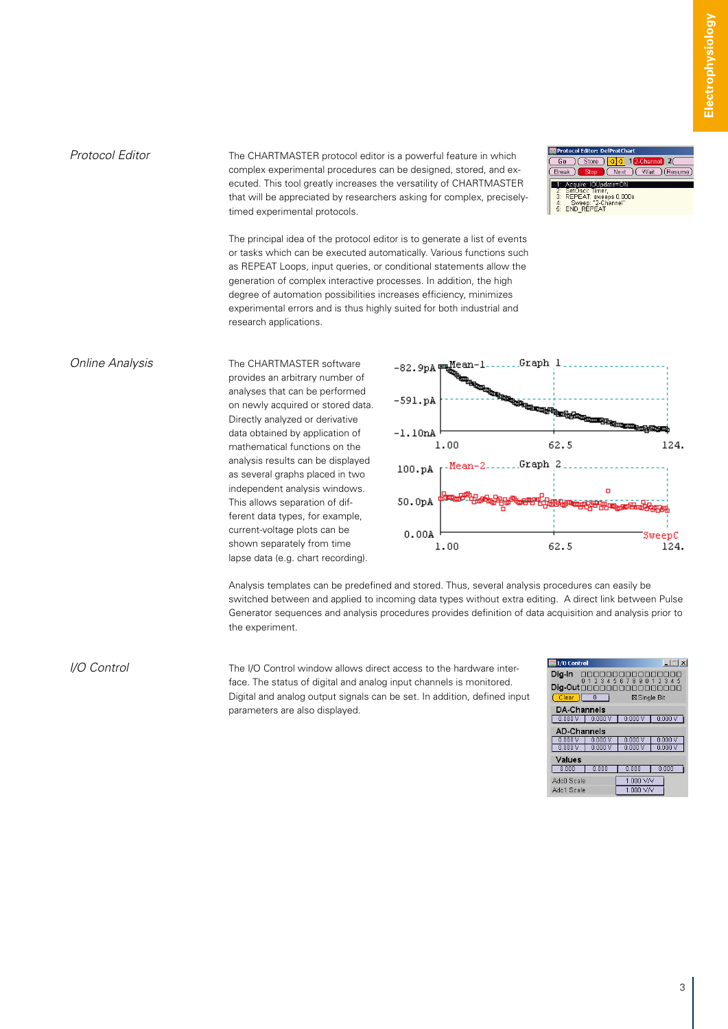Protocol Editor The CHARTMASTER protocol editor is a powerful feature in which complex experimental procedures can be designed, stored, and executed. This tool greatly increases the versatility of CHARTMASTER that will be appreciated by researchers asking for complex, preciselytimed experimental protocols.

(Store)  $\overline{1}$  $Break$ Next | Wait | (Resume) 1: Acquire: IOUpdate=ON SetOsci: Timer,<br>REPEAT: sweeps 0.000s<br>- Sweep: "2-Channel" Sweep: "2-C<br>END REPEAT

The principal idea of the protocol editor is to generate a list of events or tasks which can be executed automatically. Various functions such as REPEAT Loops, input queries, or conditional statements allow the generation of complex interactive processes. In addition, the high degree of automation possibilities increases efficiency, minimizes experimental errors and is thus highly suited for both industrial and research applications.

#### *Online Analysis* The CHARTMASTER software

provides an arbitrary number of analyses that can be performed on newly acquired or stored data. Directly analyzed or derivative data obtained by application of mathematical functions on the analysis results can be displayed as several graphs placed in two independent analysis windows. This allows separation of different data types, for example, current-voltage plots can be shown separately from time lapse data (e.g. chart recording).



Analysis templates can be predefined and stored. Thus, several analysis procedures can easily be switched between and applied to incoming data types without extra editing. A direct link between Pulse Generator sequences and analysis procedures provides definition of data acquisition and analysis prior to the experiment.

*I/O Control* The I/O Control window allows direct access to the hardware interface. The status of digital and analog input channels is monitored. Digital and analog output signals can be set. In addition, defined input parameters are also displayed.

| ■I/O Control                                             |         | $ \Box$ $\times$ |        |  |  |  |
|----------------------------------------------------------|---------|------------------|--------|--|--|--|
| Dia-In                                                   |         |                  |        |  |  |  |
| 23<br>Б<br>-6<br>۰<br>З<br>8<br>я<br>$Diq-Out \Box \Box$ |         |                  |        |  |  |  |
| $\overline{0}$<br>Clear )<br>⊠Single Bit                 |         |                  |        |  |  |  |
| <b>DA-Channels</b>                                       |         |                  |        |  |  |  |
| 0.000V                                                   | 0.000   | 0.000V           | 0.000V |  |  |  |
| <b>AD-Channels</b>                                       |         |                  |        |  |  |  |
| 0.000V                                                   | n nnn v | 0.000 V          | 0.000V |  |  |  |
| 0.000V                                                   | 0.000V  | 0.000V           | 0.000V |  |  |  |
| Values                                                   |         |                  |        |  |  |  |
| 0.000                                                    | 0.000   | 0.000            | 0.000  |  |  |  |
| AdcD Scale                                               |         | 1.000 V/V        |        |  |  |  |
| Adc1 Scale                                               |         | 1.000 V/V        |        |  |  |  |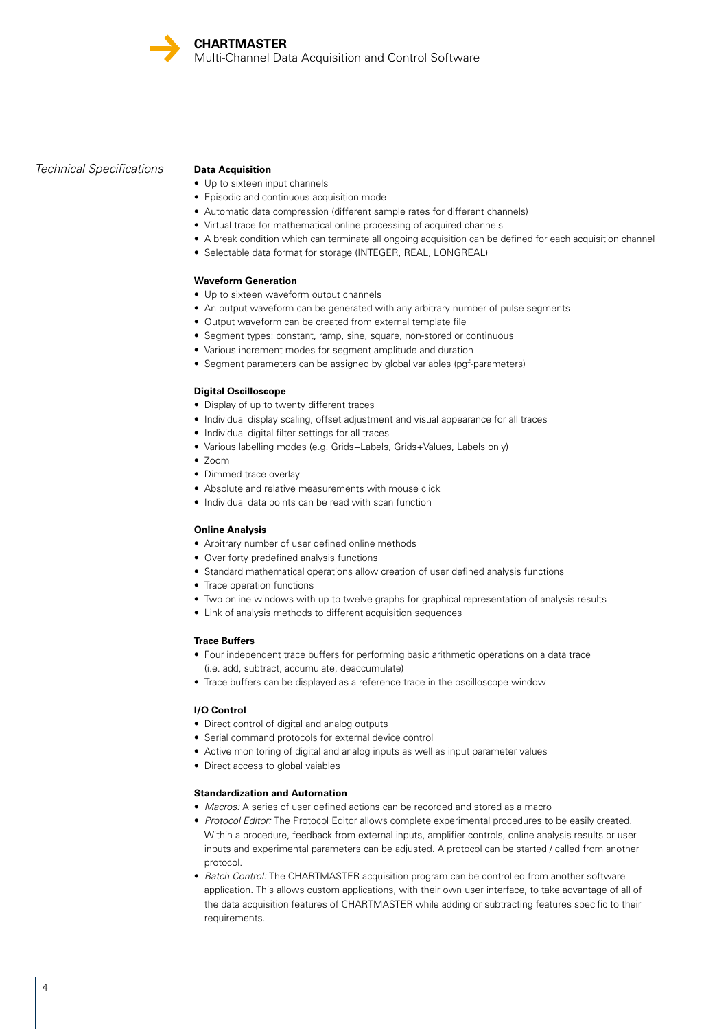## *Technical Specifications*

### **Data Acquisition**

- Up to sixteen input channels
- • Episodic and continuous acquisition mode
- Automatic data compression (different sample rates for different channels)
- • Virtual trace for mathematical online processing of acquired channels
- • A break condition which can terminate all ongoing acquisition can be defined for each acquisition channel
- Selectable data format for storage (INTEGER, REAL, LONGREAL)

#### **Waveform Generation**

- Up to sixteen waveform output channels
- An output waveform can be generated with any arbitrary number of pulse segments
- Output waveform can be created from external template file
- Segment types: constant, ramp, sine, square, non-stored or continuous
- Various increment modes for segment amplitude and duration
- Segment parameters can be assigned by global variables (pgf-parameters)

#### **Digital Oscilloscope**

- Display of up to twenty different traces
- Individual display scaling, offset adjustment and visual appearance for all traces
- Individual digital filter settings for all traces
- • Various labelling modes (e.g. Grids+Labels, Grids+Values, Labels only)
- $\bullet$   $7$ oom
- • Dimmed trace overlay
- Absolute and relative measurements with mouse click
- Individual data points can be read with scan function

#### **Online Analysis**

- Arbitrary number of user defined online methods
- Over forty predefined analysis functions
- Standard mathematical operations allow creation of user defined analysis functions
- Trace operation functions
- • Two online windows with up to twelve graphs for graphical representation of analysis results
- • Link of analysis methods to different acquisition sequences

#### **Trace Buffers**

- • Four independent trace buffers for performing basic arithmetic operations on a data trace (i.e. add, subtract, accumulate, deaccumulate)
- Trace buffers can be displayed as a reference trace in the oscilloscope window

#### **I/O Control**

- Direct control of digital and analog outputs
- Serial command protocols for external device control
- Active monitoring of digital and analog inputs as well as input parameter values
- Direct access to global vaiables

### **Standardization and Automation**

- *Macros:* A series of user defined actions can be recorded and stored as a macro
- • *Protocol Editor:* The Protocol Editor allows complete experimental procedures to be easily created. Within a procedure, feedback from external inputs, amplifier controls, online analysis results or user inputs and experimental parameters can be adjusted. A protocol can be started / called from another protocol.
- *Batch Control:* The CHARTMASTER acquisition program can be controlled from another software application. This allows custom applications, with their own user interface, to take advantage of all of the data acquisition features of CHARTMASTER while adding or subtracting features specific to their requirements.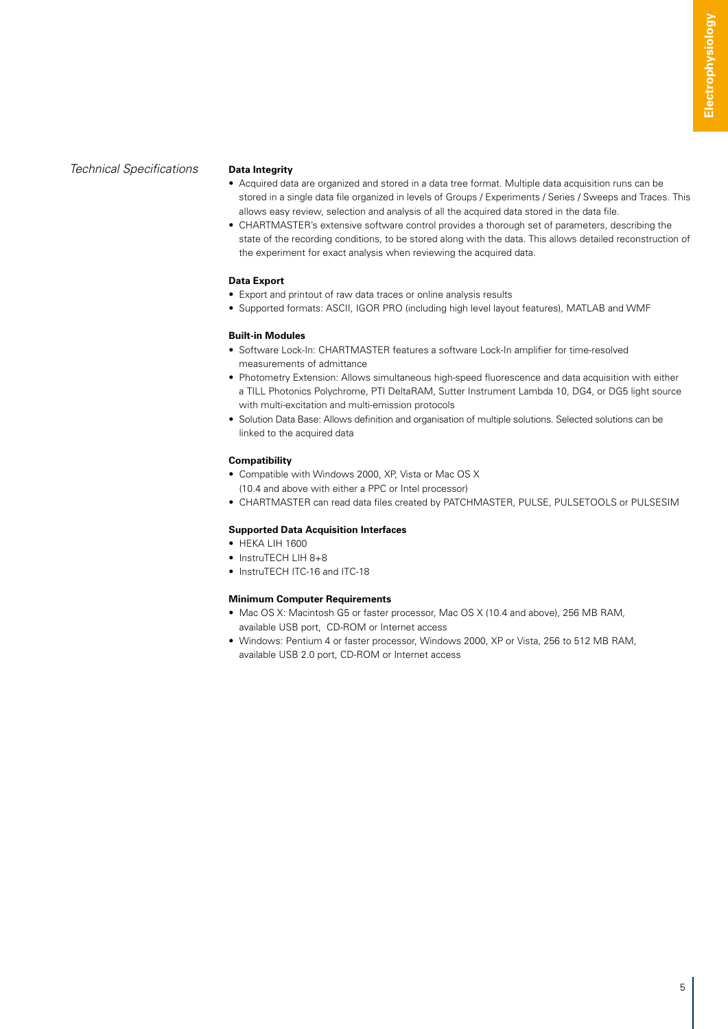# *Technical Specifications*

#### **Data Integrity**

- • Acquired data are organized and stored in a data tree format. Multiple data acquisition runs can be stored in a single data file organized in levels of Groups / Experiments / Series / Sweeps and Traces. This allows easy review, selection and analysis of all the acquired data stored in the data file.
- • CHARTMASTER's extensive software control provides a thorough set of parameters, describing the state of the recording conditions, to be stored along with the data. This allows detailed reconstruction of the experiment for exact analysis when reviewing the acquired data.

#### **Data Export**

- Export and printout of raw data traces or online analysis results
- • Supported formats: ASCII, IGOR PRO (including high level layout features), MATLAB and WMF

#### **Built-in Modules**

- Software Lock-In: CHARTMASTER features a software Lock-In amplifier for time-resolved measurements of admittance
- Photometry Extension: Allows simultaneous high-speed fluorescence and data acquisition with either a TILL Photonics Polychrome, PTI DeltaRAM, Sutter Instrument Lambda 10, DG4, or DG5 light source with multi-excitation and multi-emission protocols
- Solution Data Base: Allows definition and organisation of multiple solutions. Selected solutions can be linked to the acquired data

### **Compatibility**

- Compatible with Windows 2000, XP, Vista or Mac OS X (10.4 and above with either a PPC or Intel processor)
- • CHARTMASTER can read data files created by PATCHMASTER, PULSE, PULSETOOLS or PULSESIM

### **Supported Data Acquisition Interfaces**

- HEKA LIH 1600
- InstruTFCH LIH 8+8
- InstruTECH ITC-16 and ITC-18

### **Minimum Computer Requirements**

- Mac OS X: Macintosh G5 or faster processor, Mac OS X (10.4 and above), 256 MB RAM,
	- available USB port, CD-ROM or Internet access
- Windows: Pentium 4 or faster processor, Windows 2000, XP or Vista, 256 to 512 MB RAM, available USB 2.0 port, CD-ROM or Internet access